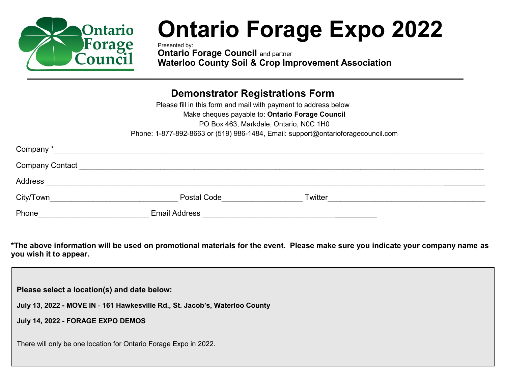

## **Ontario Forage Expo 2022**

Presented by: **Ontario Forage Council and partner Waterloo County Soil & Crop Improvement Association**

## **Demonstrator Registrations Form**

Please fill in this form and mail with payment to address below Make cheques payable to: **Ontario Forage Council** PO Box 463, Markdale, Ontario, N0C 1H0 Phone: 1-877-892-8663 or (519) 986-1484, Email: support@ontarioforagecouncil.com

| Company*        |                      |         |  |
|-----------------|----------------------|---------|--|
| Company Contact |                      |         |  |
| Address         |                      |         |  |
| City/Town       | <b>Postal Code</b>   | Twitter |  |
| Phone           | <b>Email Address</b> |         |  |

**\*The above information will be used on promotional materials for the event. Please make sure you indicate your company name as you wish it to appear.**

**Please select a location(s) and date below:**

**July 13, 2022 - MOVE IN** - **161 Hawkesville Rd., St. Jacob's, Waterloo County** 

**July 14, 2022 - FORAGE EXPO DEMOS**

There will only be one location for Ontario Forage Expo in 2022.